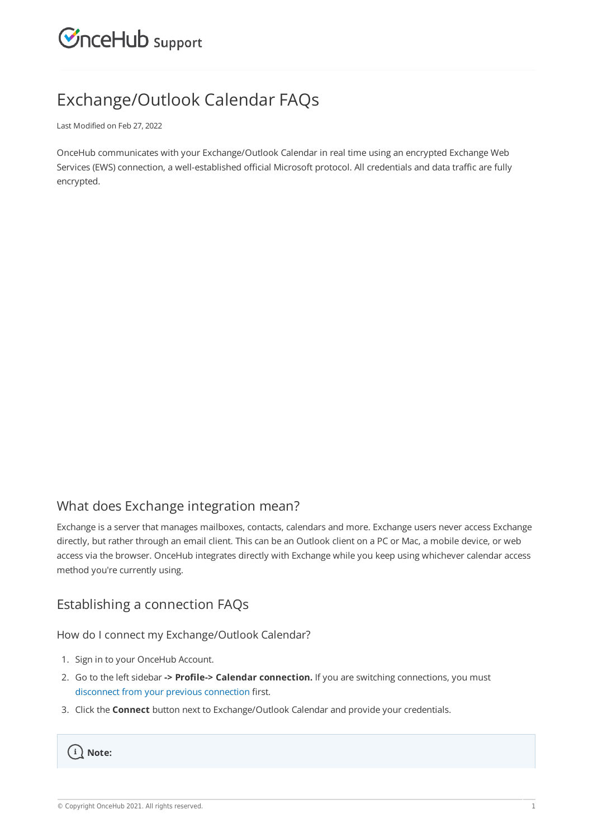

# Exchange/Outlook Calendar FAQs

Last Modified on Feb 27, 2022

OnceHub communicates with your Exchange/Outlook Calendar in real time using an encrypted Exchange Web Services (EWS) connection, a well-established official Microsoft protocol. All credentials and data traffic are fully encrypted.

# What does Exchange integration mean?

Exchange is a server that manages mailboxes, contacts, calendars and more. Exchange users never access Exchange directly, but rather through an email client. This can be an Outlook client on a PC or Mac, a mobile device, or web access via the browser. OnceHub integrates directly with Exchange while you keep using whichever calendar access method you're currently using.

# Establishing a connection FAQs

How do I connect my Exchange/Outlook Calendar?

- 1. Sign in to your OnceHub Account.
- Go to the left sidebar **-> Profile-> Calendar connection.** If you are switching connections, you must 2. disconnect from your previous connection first.
- 3. Click the **Connect** button next to Exchange/Outlook Calendar and provide your credentials.

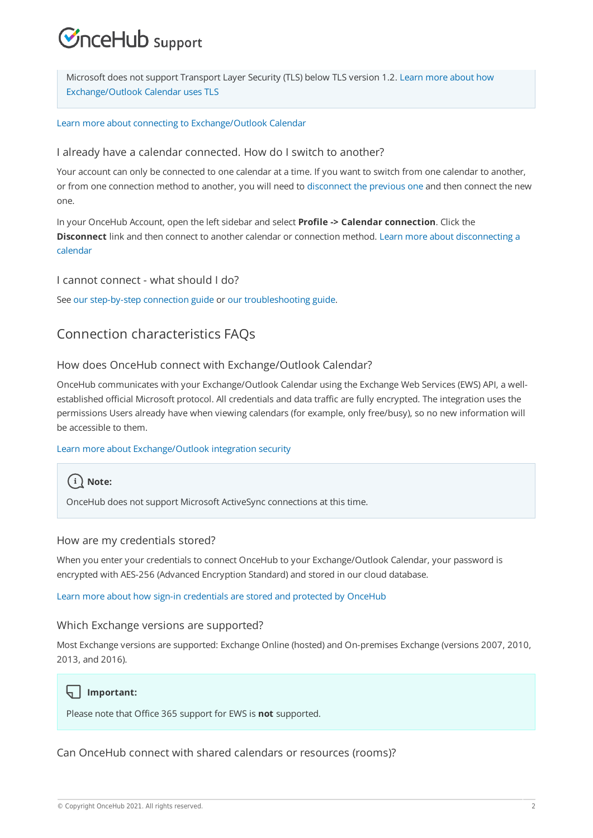# $\mathcal{Y}$ nceHub support

Microsoft does not support Transport Layer Security (TLS) below TLS version 1.2. Learn more about how Exchange/Outlook Calendar uses TLS

#### Learn more about connecting to Exchange/Outlook Calendar

### I already have a calendar connected. How do I switch to another?

Your account can only be connected to one calendar at a time. If you want to switch from one calendar to another, or from one connection method to another, you will need to disconnect the previous one and then connect the new one.

In your OnceHub Account, open the left sidebar and select **Profile -> Calendar connection**. Click the **Disconnect** link and then connect to another calendar or connection method. Learn more about disconnecting a calendar

### I cannot connect - what should I do?

See our step-by-step connection guide or our troubleshooting guide.

# Connection characteristics FAQs

### How does OnceHub connect with Exchange/Outlook Calendar?

OnceHub communicates with your Exchange/Outlook Calendar using the Exchange Web Services (EWS) API, a wellestablished official Microsoft protocol. All credentials and data traffic are fully encrypted. The integration uses the permissions Users already have when viewing calendars (for example, only free/busy), so no new information will be accessible to them.

### Learn more about Exchange/Outlook integration security



OnceHub does not support Microsoft ActiveSync connections at this time.

### How are my credentials stored?

When you enter your credentials to connect OnceHub to your Exchange/Outlook Calendar, your password is encrypted with AES-256 (Advanced Encryption Standard) and stored in our cloud database.

Learn more about how sign-in credentials are stored and protected by OnceHub

### Which Exchange versions are supported?

Most Exchange versions are supported: Exchange Online (hosted) and On-premises Exchange (versions 2007, 2010, 2013, and 2016).

### **Important:**

Please note that Office 365 support for EWS is **not** supported.

Can OnceHub connect with shared calendars or resources (rooms)?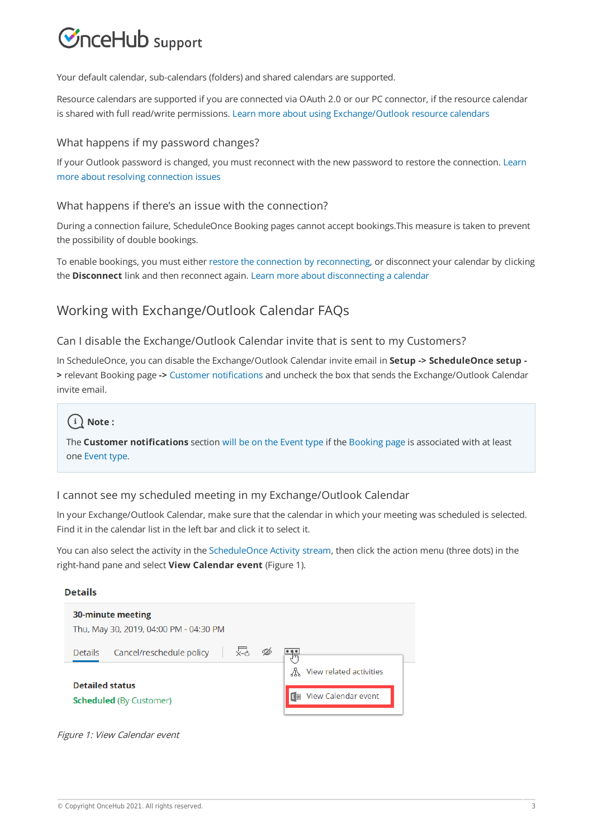# $\mathcal{\widetilde{S}}$ nceHub support

Your default calendar, sub-calendars (folders) and shared calendars are supported.

Resource calendars are supported if you are connected via OAuth 2.0 or our PC connector, if the resource calendar is shared with full read/write permissions. Learn more about using Exchange/Outlook resource calendars

### What happens if my password changes?

If your Outlook password is changed, you must reconnect with the new password to restore the connection. Learn more about resolving connection issues

### What happens if there's an issue with the connection?

During a connection failure, ScheduleOnce Booking pages cannot accept bookings.This measure is taken to prevent the possibility of double bookings.

To enable bookings, you must either restore the connection by reconnecting, or disconnect your calendar by clicking the **Disconnect** link and then reconnect again. Learn more about disconnecting a calendar

# Working with Exchange/Outlook Calendar FAQs

### Can I disable the Exchange/Outlook Calendar invite that is sent to my Customers?

In ScheduleOnce, you can disable the Exchange/Outlook Calendar invite email in **Setup -> ScheduleOnce setup - >** relevant Booking page **->** Customer notifications and uncheck the box that sends the Exchange/Outlook Calendar invite email.

# $(i)$  Note:

The **Customer notifications** section will be on the Event type if the Booking page is associated with at least one Event type.

### I cannot see my scheduled meeting in my Exchange/Outlook Calendar

In your Exchange/Outlook Calendar, make sure that the calendar in which your meeting was scheduled is selected. Find it in the calendar list in the left bar and click it to select it.

You can also select the activity in the ScheduleOnce Activity stream, then click the action menu (three dots) in the right-hand pane and select **View Calendar event** (Figure 1).

#### **Details**

| 30-minute meeting<br>Thu, May 30, 2019, 04:00 PM - 04:30 PM |                                     |
|-------------------------------------------------------------|-------------------------------------|
| Cancel/reschedule policy<br>$x - c$<br><b>Details</b>       | وال<br>View related activities<br>⚠ |
| <b>Detailed status</b><br><b>Scheduled (By Customer)</b>    | View Calendar event                 |

Figure 1: View Calendar event